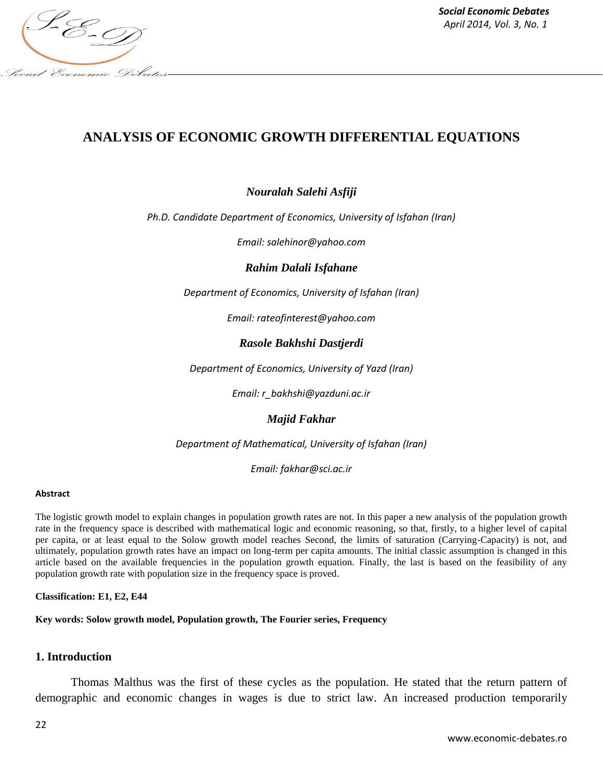

# **ANALYSIS OF ECONOMIC GROWTH DIFFERENTIAL EQUATIONS**

## *Nouralah Salehi Asfiji*

*Ph.D. Candidate Department of Economics, University of Isfahan (Iran)*

*Email: salehinor@yahoo.com*

*Rahim Dalali Isfahane*

*Department of Economics, University of Isfahan (Iran)*

*Email: rateofinterest@yahoo.com*

### *Rasole Bakhshi Dastjerdi*

*Department of Economics, University of Yazd (Iran)*

*Email: r\_bakhshi@yazduni.ac.ir*

#### *Majid Fakhar*

*Department of Mathematical, University of Isfahan (Iran)*

*Email: fakhar@sci.ac.ir*

#### **Abstract**

The logistic growth model to explain changes in population growth rates are not. In this paper a new analysis of the population growth rate in the frequency space is described with mathematical logic and economic reasoning, so that, firstly, to a higher level of capital per capita, or at least equal to the Solow growth model reaches Second, the limits of saturation (Carrying-Capacity) is not, and ultimately, population growth rates have an impact on long-term per capita amounts. The initial classic assumption is changed in this article based on the available frequencies in the population growth equation. Finally, the last is based on the feasibility of any population growth rate with population size in the frequency space is proved.

**Classification: E1, E2, E44**

**Key words: Solow growth model, Population growth, The Fourier series, Frequency**

#### **1. Introduction**

Thomas Malthus was the first of these cycles as the population. He stated that the return pattern of demographic and economic changes in wages is due to strict law. An increased production temporarily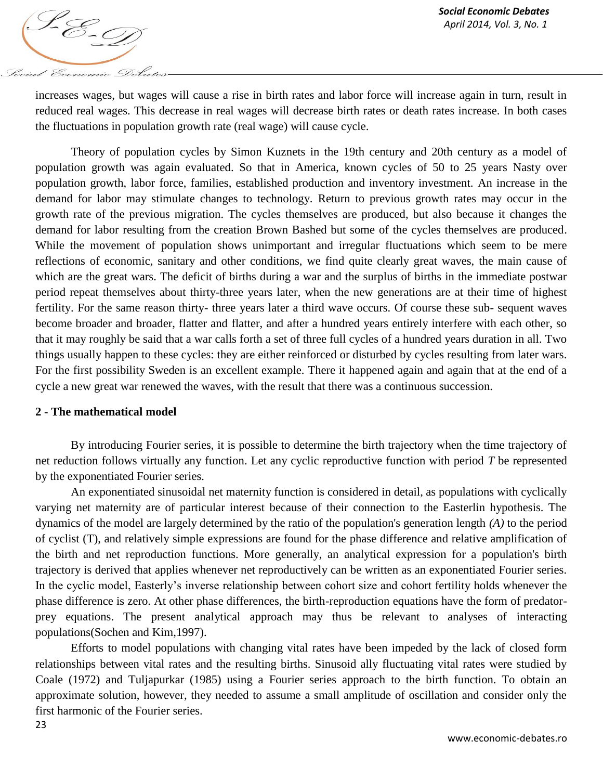

increases wages, but wages will cause a rise in birth rates and labor force will increase again in turn, result in reduced real wages. This decrease in real wages will decrease birth rates or death rates increase. In both cases the fluctuations in population growth rate (real wage) will cause cycle.

Theory of population cycles by Simon Kuznets in the 19th century and 20th century as a model of population growth was again evaluated. So that in America, known cycles of 50 to 25 years Nasty over population growth, labor force, families, established production and inventory investment. An increase in the demand for labor may stimulate changes to technology. Return to previous growth rates may occur in the growth rate of the previous migration. The cycles themselves are produced, but also because it changes the demand for labor resulting from the creation Brown Bashed but some of the cycles themselves are produced. While the movement of population shows unimportant and irregular fluctuations which seem to be mere reflections of economic, sanitary and other conditions, we find quite clearly great waves, the main cause of which are the great wars. The deficit of births during a war and the surplus of births in the immediate postwar period repeat themselves about thirty-three years later, when the new generations are at their time of highest fertility. For the same reason thirty- three years later a third wave occurs. Of course these sub- sequent waves become broader and broader, flatter and flatter, and after a hundred years entirely interfere with each other, so that it may roughly be said that a war calls forth a set of three full cycles of a hundred years duration in all. Two things usually happen to these cycles: they are either reinforced or disturbed by cycles resulting from later wars. For the first possibility Sweden is an excellent example. There it happened again and again that at the end of a cycle a new great war renewed the waves, with the result that there was a continuous succession.

### **2 - The mathematical model**

By introducing Fourier series, it is possible to determine the birth trajectory when the time trajectory of net reduction follows virtually any function. Let any cyclic reproductive function with period *T* be represented by the exponentiated Fourier series.

An exponentiated sinusoidal net maternity function is considered in detail, as populations with cyclically varying net maternity are of particular interest because of their connection to the Easterlin hypothesis. The dynamics of the model are largely determined by the ratio of the population's generation length *(A)* to the period of cyclist (T), and relatively simple expressions are found for the phase difference and relative amplification of the birth and net reproduction functions. More generally, an analytical expression for a population's birth trajectory is derived that applies whenever net reproductively can be written as an exponentiated Fourier series. In the cyclic model, Easterly's inverse relationship between cohort size and cohort fertility holds whenever the phase difference is zero. At other phase differences, the birth-reproduction equations have the form of predatorprey equations. The present analytical approach may thus be relevant to analyses of interacting populations(Sochen and Kim,1997).

Efforts to model populations with changing vital rates have been impeded by the lack of closed form relationships between vital rates and the resulting births. Sinusoid ally fluctuating vital rates were studied by Coale (1972) and Tuljapurkar (1985) using a Fourier series approach to the birth function. To obtain an approximate solution, however, they needed to assume a small amplitude of oscillation and consider only the first harmonic of the Fourier series.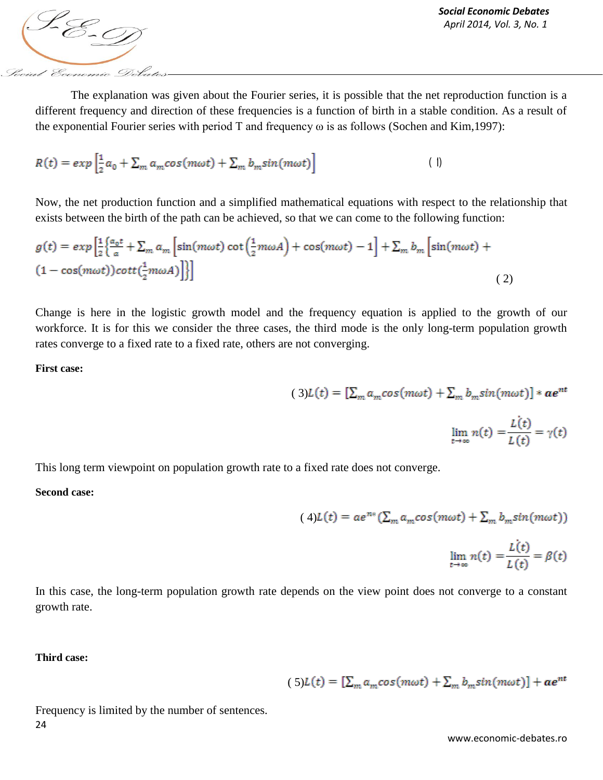The explanation was given about the Fourier series, it is possible that the net reproduction function is a different frequency and direction of these frequencies is a function of birth in a stable condition. As a result of the exponential Fourier series with period T and frequency ω is as follows (Sochen and Kim,1997):

$$
R(t) = exp\left[\frac{1}{2}a_0 + \sum_m a_m cos(m\omega t) + \sum_m b_m sin(m\omega t)\right]
$$
 (1)

Now, the net production function and a simplified mathematical equations with respect to the relationship that exists between the birth of the path can be achieved, so that we can come to the following function:

$$
g(t) = exp\left[\frac{1}{2}\left\{\frac{a_0 t}{a} + \sum_m a_m \left[\sin(m\omega t)\cot\left(\frac{1}{2}m\omega A\right) + \cos(m\omega t) - 1\right] + \sum_m b_m \left[\sin(m\omega t) + (1 - \cos(m\omega t))\cot\left(\frac{1}{2}m\omega A\right)\right]\right\}\right]
$$
(2)

Change is here in the logistic growth model and the frequency equation is applied to the growth of our workforce. It is for this we consider the three cases, the third mode is the only long-term population growth rates converge to a fixed rate to a fixed rate, others are not converging.

**First case:**

$$
(3)L(t) = [\sum_{m} a_m cos(m\omega t) + \sum_{m} b_m sin(m\omega t)] * \mathbfit{a}e^{nt}
$$

 $\lim_{t\to\infty} n(t) = \frac{L(t)}{L(t)} = \gamma(t)$ 

This long term viewpoint on population growth rate to a fixed rate does not converge.

**Second case:**

$$
(4)L(t) = ae^{n*}(\sum_{m} a_m \cos(m\omega t) + \sum_m b_m \sin(m\omega t))
$$

$$
\lim_{t \to \infty} n(t) = \frac{L(t)}{L(t)} = \beta(t)
$$

In this case, the long-term population growth rate depends on the view point does not converge to a constant growth rate.

**Third case:**

$$
(5)L(t) = \left[\sum_{m} a_m \cos(m\omega t) + \sum_m b_m \sin(m\omega t)\right] + \mathbf{a}e^{nt}
$$

24 Frequency is limited by the number of sentences.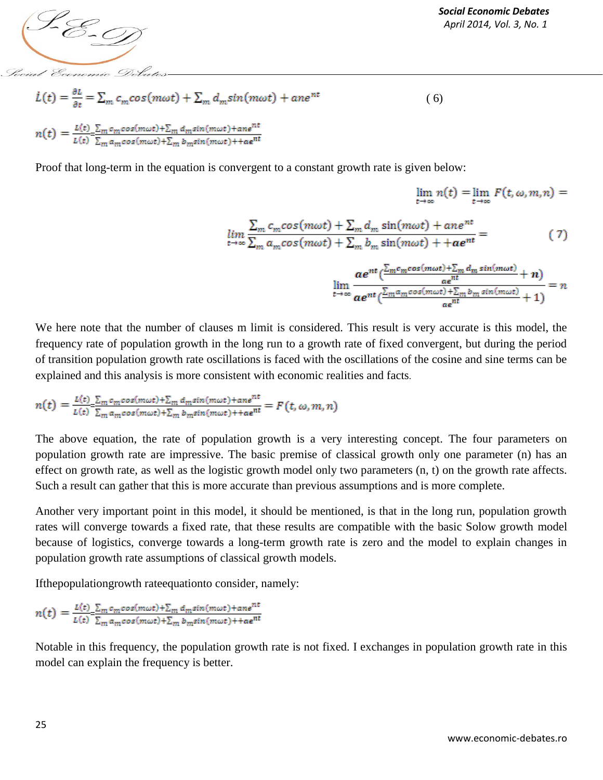

*Social Economic Debates*

 $\lim n(t) = \lim F(t, \omega, m, n) =$ 

$$
\dot{L}(t) = \frac{\partial L}{\partial t} = \sum_{m} c_m \cos(m\omega t) + \sum_{m} d_m \sin(m\omega t) + an e^{nt}
$$
\n
$$
n(t) = \frac{L(t)}{L(t)} \frac{\sum_{m} c_m \cos(m\omega t) + \sum_{m} d_m \sin(m\omega t) + an e^{nt}}{\sum_{m} a_m \cos(m\omega t) + \sum_{m} b_m \sin(m\omega t) + a e^{nt}}
$$
\n(6)

Proof that long-term in the equation is convergent to a constant growth rate is given below:

$$
\lim_{t \to \infty} \frac{\sum_{m} c_{m} \cos(m\omega t) + \sum_{m} d_{m} \sin(m\omega t) + an e^{nt}}{\sum_{m} a_{m} \cos(m\omega t) + \sum_{m} b_{m} \sin(m\omega t) + a e^{nt}} = \qquad (7)
$$
\n
$$
\lim_{t \to \infty} \frac{a e^{nt} (\frac{\sum_{m} c_{m} \cos(m\omega t) + \sum_{m} d_{m} \sin(m\omega t)}{a e^{nt}} + n)}{\lim_{t \to \infty} \frac{a e^{nt} (\frac{\sum_{m} a_{m} \cos(m\omega t) + \sum_{m} b_{m} \sin(m\omega t)}{a e^{nt}} + 1)} = n
$$

We here note that the number of clauses m limit is considered. This result is very accurate is this model, the frequency rate of population growth in the long run to a growth rate of fixed convergent, but during the period of transition population growth rate oscillations is faced with the oscillations of the cosine and sine terms can be explained and this analysis is more consistent with economic realities and facts.

$$
n(t) = \frac{L(t)}{L(t)} \frac{\sum_{m} c_m \cos(m\omega t) + \sum_{m} d_m \sin(m\omega t) + \cos^{nt}}{\sum_{m} a_m \cos(m\omega t) + \sum_{m} b_m \sin(m\omega t) + \cos^{nt}} = F(t, \omega, m, n)
$$

The above equation, the rate of population growth is a very interesting concept. The four parameters on population growth rate are impressive. The basic premise of classical growth only one parameter (n) has an effect on growth rate, as well as the logistic growth model only two parameters (n, t) on the growth rate affects. Such a result can gather that this is more accurate than previous assumptions and is more complete.

Another very important point in this model, it should be mentioned, is that in the long run, population growth rates will converge towards a fixed rate, that these results are compatible with the basic Solow growth model because of logistics, converge towards a long-term growth rate is zero and the model to explain changes in population growth rate assumptions of classical growth models.

Ifthepopulationgrowth rateequationto consider, namely:

 $n(t) = \frac{L(t)}{L(t)} \frac{\sum_{m} c_m cos(m\omega t) + \sum_{m} d_m sin(m\omega t) + a_n e^{nt}}{\sum_{m} a_m cos(m\omega t) + \sum_{m} b_m sin(m\omega t) + a e^{nt}}$ 

Notable in this frequency, the population growth rate is not fixed. I exchanges in population growth rate in this model can explain the frequency is better.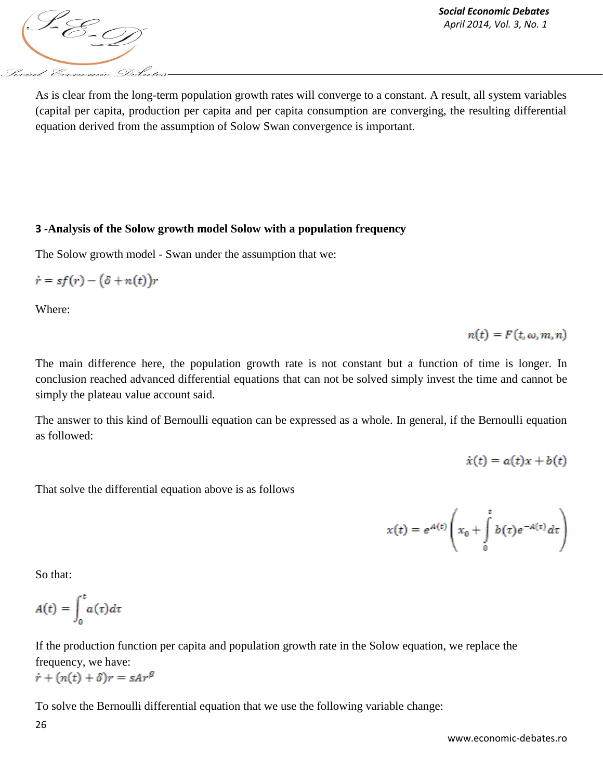

As is clear from the long-term population growth rates will converge to a constant. A result, all system variables (capital per capita, production per capita and per capita consumption are converging, the resulting differential equation derived from the assumption of Solow Swan convergence is important.

## **3 -Analysis of the Solow growth model Solow with a population frequency**

The Solow growth model - Swan under the assumption that we:

$$
\dot{r} = sf(r) - (\delta + n(t))r
$$

Where:

 $n(t) = F(t, \omega, m, n)$ 

The main difference here, the population growth rate is not constant but a function of time is longer. In conclusion reached advanced differential equations that can not be solved simply invest the time and cannot be simply the plateau value account said.

The answer to this kind of Bernoulli equation can be expressed as a whole. In general, if the Bernoulli equation as followed:

$$
\dot{x}(t) = a(t)x + b(t)
$$

That solve the differential equation above is as follows

$$
x(t) = e^{A(t)} \left( x_0 + \int_0^t b(\tau) e^{-A(\tau)} d\tau \right)
$$

So that:

$$
A(t) = \int_0^t a(\tau) d\tau
$$

If the production function per capita and population growth rate in the Solow equation, we replace the frequency, we have:  $\dot{r} + (n(t) + \delta)r = sAr^{\beta}$ 

To solve the Bernoulli differential equation that we use the following variable change: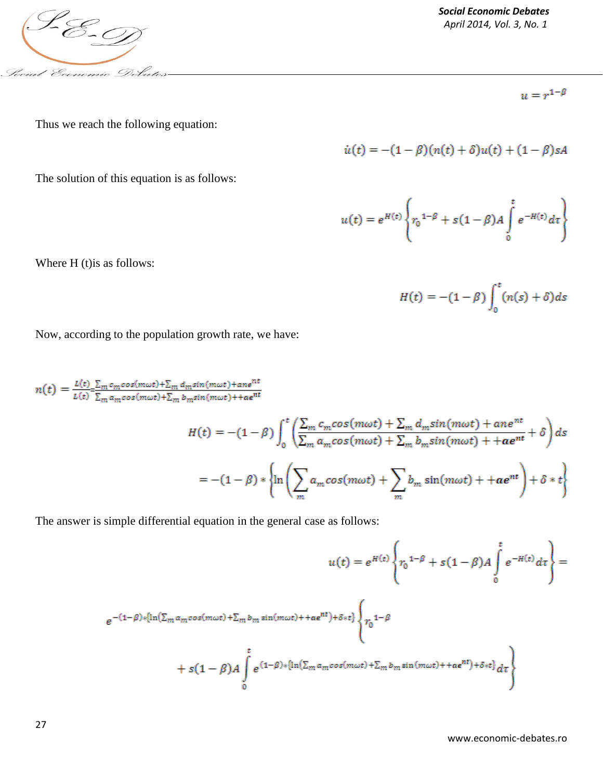

Where H (t)is as follows:

*Social Economic Debates*

 $u=r^{1-\beta}$ 

Thus we reach the following equation:

$$
\dot{u}(t) = -(1 - \beta)(n(t) + \delta)u(t) + (1 - \beta)sA
$$

The solution of this equation is as follows:

$$
u(t) = e^{H(t)} \left\{ r_0^{1-\beta} + s(1-\beta)A \int\limits_0^t e^{-H(t)} dt \right\}
$$

$$
H(t) = -(1 - \beta) \int_0^t (n(s) + \delta) ds
$$

Now, according to the population growth rate, we have:

 $n(t)=\frac{L(t)}{L(t)}\frac{\sum_{m}c_{m}cos(m\omega t)+\sum_{m}d_{m}sin(m\omega t)+ane^{nt}}{\sum_{m}a_{m}cos(m\omega t)+\sum_{m}b_{m}sin(m\omega t)+tae^{nt}}$ 

$$
H(t) = -(1 - \beta) \int_0^t \left( \frac{\sum_m c_m \cos(m\omega t) + \sum_m d_m \sin(m\omega t) + a n e^{nt}}{\sum_m a_m \cos(m\omega t) + \sum_m b_m \sin(m\omega t) + a e^{nt}} + \delta \right) ds
$$
  
= -(1 - \beta) \*  $\left\{ \ln \left( \sum_m a_m \cos(m\omega t) + \sum_m b_m \sin(m\omega t) + a e^{nt} \right) + \delta * t \right\}$ 

The answer is simple differential equation in the general case as follows:

$$
u(t) = e^{H(t)} \left\{ r_0^{1-\beta} + s(1-\beta)A \int_0^t e^{-H(t)} d\tau \right\} =
$$
  

$$
e^{-(1-\beta) * [\ln(\sum_m a_m \cos(m\omega t) + \sum_m b_m \sin(m\omega t) + a e^{nt}) + \delta * t]} \left\{ r_0^{1-\beta} + s(1-\beta)A \int_0^t e^{(1-\beta) * [\ln(\sum_m a_m \cos(m\omega t) + \sum_m b_m \sin(m\omega t) + a e^{nt}) + \delta * t]} d\tau \right\}
$$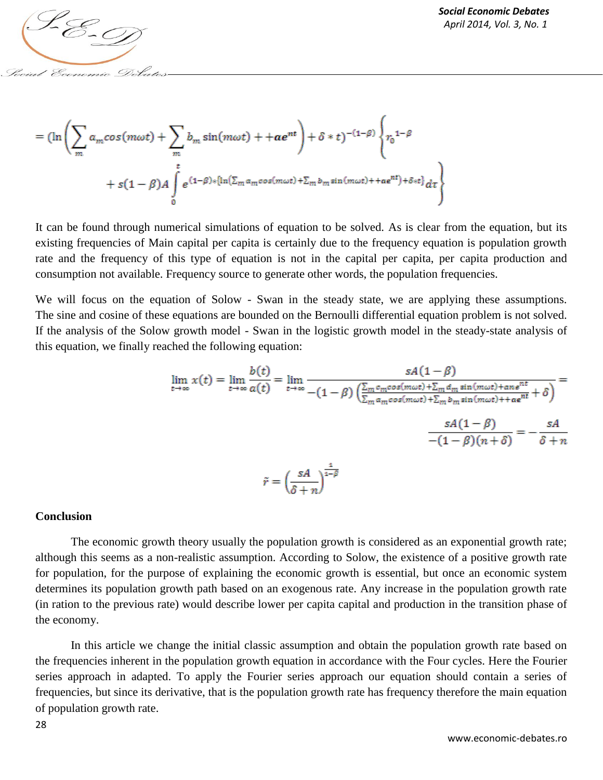

$$
= (\ln\left(\sum_{m} a_{m} \cos(m\omega t) + \sum_{m} b_{m} \sin(m\omega t) + a e^{nt}\right) + \delta * t)^{-(1-\beta)} \left\{r_{0}^{1-\beta} + s(1-\beta)A \int_{0}^{t} e^{(1-\beta)*[\ln(\sum_{m} a_{m} \cos(m\omega t) + \sum_{m} b_{m} \sin(m\omega t) + a e^{nt}) + \delta * t]} d\tau\right\}
$$

It can be found through numerical simulations of equation to be solved. As is clear from the equation, but its existing frequencies of Main capital per capita is certainly due to the frequency equation is population growth rate and the frequency of this type of equation is not in the capital per capita, per capita production and consumption not available. Frequency source to generate other words, the population frequencies.

We will focus on the equation of Solow - Swan in the steady state, we are applying these assumptions. The sine and cosine of these equations are bounded on the Bernoulli differential equation problem is not solved. If the analysis of the Solow growth model - Swan in the logistic growth model in the steady-state analysis of this equation, we finally reached the following equation:

$$
\lim_{t \to \infty} x(t) = \lim_{t \to \infty} \frac{b(t)}{a(t)} = \lim_{t \to \infty} \frac{sA(1-\beta)}{-(1-\beta)\left(\frac{\sum_{m} c_{m}cos(m\omega t) + \sum_{m} d_{m}sin(m\omega t) + an e^{nt}}{\sum_{m} a_{m}cos(m\omega t) + \sum_{m} b_{m}sin(m\omega t) + a e^{nt}} + \delta\right)} = \frac{sA(1-\beta)}{-(1-\beta)(n+\delta)} = -\frac{sA}{\delta + n}
$$
\n
$$
\tilde{r} = \left(\frac{sA}{\delta + n}\right)^{\frac{1}{1-\beta}}
$$

#### **Conclusion**

The economic growth theory usually the population growth is considered as an exponential growth rate; although this seems as a non-realistic assumption. According to Solow, the existence of a positive growth rate for population, for the purpose of explaining the economic growth is essential, but once an economic system determines its population growth path based on an exogenous rate. Any increase in the population growth rate (in ration to the previous rate) would describe lower per capita capital and production in the transition phase of the economy.

In this article we change the initial classic assumption and obtain the population growth rate based on the frequencies inherent in the population growth equation in accordance with the Four cycles. Here the Fourier series approach in adapted. To apply the Fourier series approach our equation should contain a series of frequencies, but since its derivative, that is the population growth rate has frequency therefore the main equation of population growth rate.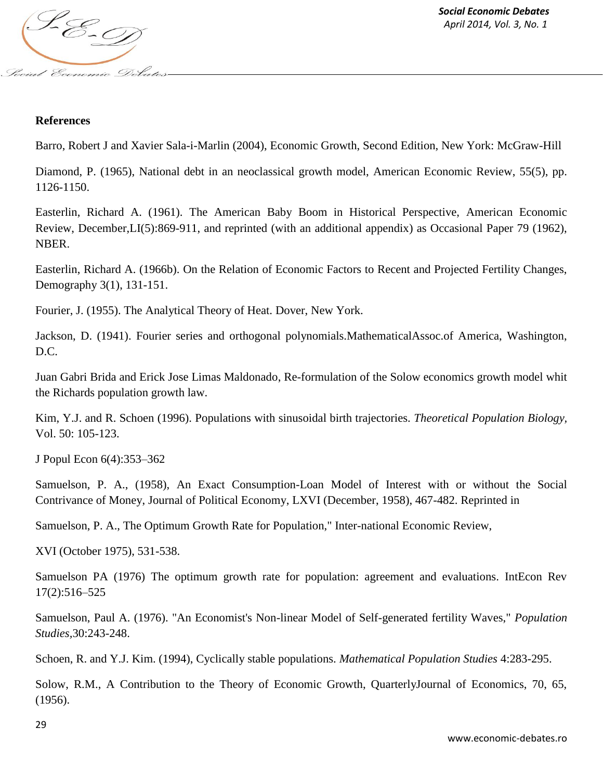

## **References**

Barro, Robert J and Xavier Sala-i-Marlin (2004), Economic Growth, Second Edition, New York: McGraw-Hill

Diamond, P. (1965), National debt in an neoclassical growth model, American Economic Review, 55(5), pp. 1126-1150.

Easterlin, Richard A. (1961). The American Baby Boom in Historical Perspective, American Economic Review, December,LI(5):869-911, and reprinted (with an additional appendix) as Occasional Paper 79 (1962), NBER.

Easterlin, Richard A. (1966b). On the Relation of Economic Factors to Recent and Projected Fertility Changes, Demography 3(1), 131-151.

Fourier, J. (1955). The Analytical Theory of Heat. Dover, New York.

Jackson, D. (1941). Fourier series and orthogonal polynomials.MathematicalAssoc.of America, Washington, D.C.

Juan Gabri Brida and Erick Jose Limas Maldonado, Re-formulation of the Solow economics growth model whit the Richards population growth law.

Kim, Y.J. and R. Schoen (1996). Populations with sinusoidal birth trajectories. *Theoretical Population Biology,*  Vol. 50: 105-123.

J Popul Econ 6(4):353–362

Samuelson, P. A., (1958), An Exact Consumption-Loan Model of Interest with or without the Social Contrivance of Money, Journal of Political Economy, LXVI (December, 1958), 467-482. Reprinted in

Samuelson, P. A., The Optimum Growth Rate for Population," Inter-national Economic Review,

XVI (October 1975), 531-538.

Samuelson PA (1976) The optimum growth rate for population: agreement and evaluations. IntEcon Rev 17(2):516–525

Samuelson, Paul A. (1976). "An Economist's Non-linear Model of Self-generated fertility Waves," *Population Studies,*30:243-248.

Schoen, R. and Y.J. Kim. (1994), Cyclically stable populations. *Mathematical Population Studies* 4:283-295.

Solow, R.M., A Contribution to the Theory of Economic Growth, QuarterlyJournal of Economics, 70, 65, (1956).